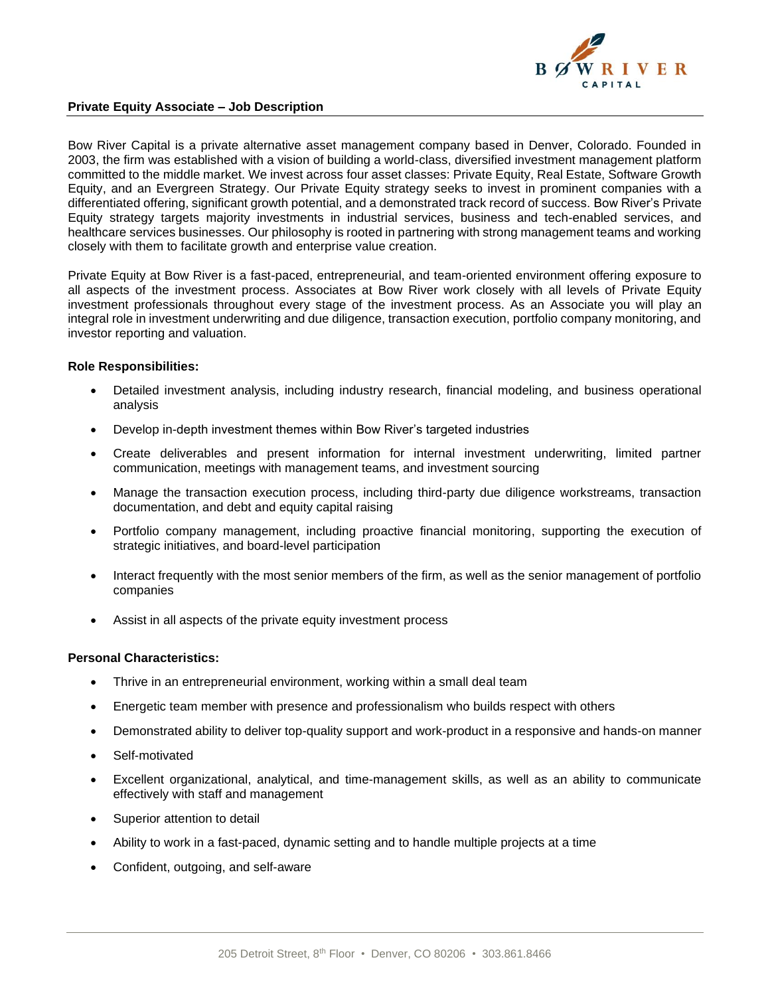

## **Private Equity Associate – Job Description**

Bow River Capital is a private alternative asset management company based in Denver, Colorado. Founded in 2003, the firm was established with a vision of building a world-class, diversified investment management platform committed to the middle market. We invest across four asset classes: Private Equity, Real Estate, Software Growth Equity, and an Evergreen Strategy. Our Private Equity strategy seeks to invest in prominent companies with a differentiated offering, significant growth potential, and a demonstrated track record of success. Bow River's Private Equity strategy targets majority investments in industrial services, business and tech-enabled services, and healthcare services businesses. Our philosophy is rooted in partnering with strong management teams and working closely with them to facilitate growth and enterprise value creation.

Private Equity at Bow River is a fast-paced, entrepreneurial, and team-oriented environment offering exposure to all aspects of the investment process. Associates at Bow River work closely with all levels of Private Equity investment professionals throughout every stage of the investment process. As an Associate you will play an integral role in investment underwriting and due diligence, transaction execution, portfolio company monitoring, and investor reporting and valuation.

## **Role Responsibilities:**

- Detailed investment analysis, including industry research, financial modeling, and business operational analysis
- Develop in-depth investment themes within Bow River's targeted industries
- Create deliverables and present information for internal investment underwriting, limited partner communication, meetings with management teams, and investment sourcing
- Manage the transaction execution process, including third-party due diligence workstreams, transaction documentation, and debt and equity capital raising
- Portfolio company management, including proactive financial monitoring, supporting the execution of strategic initiatives, and board-level participation
- Interact frequently with the most senior members of the firm, as well as the senior management of portfolio companies
- Assist in all aspects of the private equity investment process

## **Personal Characteristics:**

- Thrive in an entrepreneurial environment, working within a small deal team
- Energetic team member with presence and professionalism who builds respect with others
- Demonstrated ability to deliver top-quality support and work-product in a responsive and hands-on manner
- Self-motivated
- Excellent organizational, analytical, and time-management skills, as well as an ability to communicate effectively with staff and management
- Superior attention to detail
- Ability to work in a fast-paced, dynamic setting and to handle multiple projects at a time
- Confident, outgoing, and self-aware